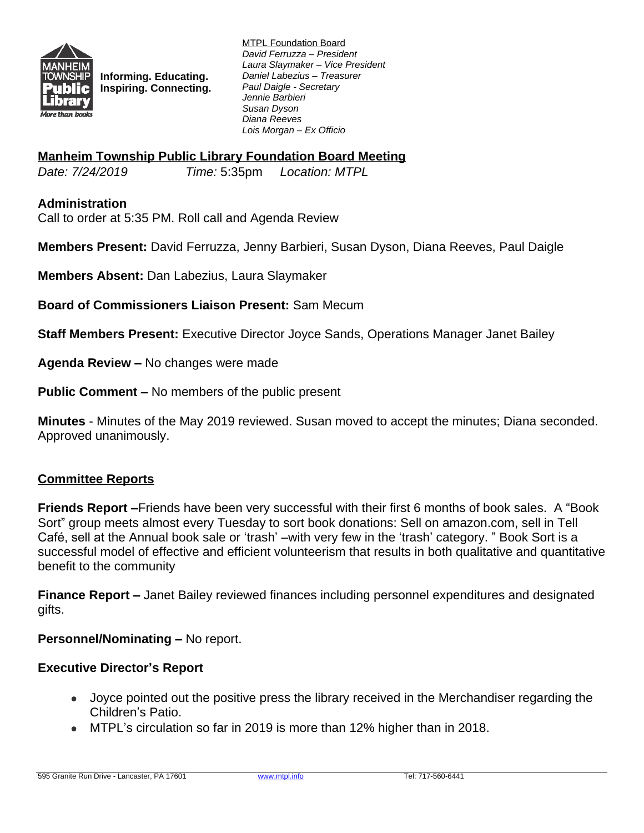

**Informing. Educating. Inspiring. Connecting.** MTPL Foundation Board *David Ferruzza – President Laura Slaymaker – Vice President Daniel Labezius – Treasurer Paul Daigle - Secretary Jennie Barbieri Susan Dyson Diana Reeves Lois Morgan – Ex Officio*

### **Manheim Township Public Library Foundation Board Meeting**

*Date: 7/24/2019 Time:* 5:35pm *Location: MTPL*

#### **Administration**

Call to order at 5:35 PM. Roll call and Agenda Review

**Members Present:** David Ferruzza, Jenny Barbieri, Susan Dyson, Diana Reeves, Paul Daigle

**Members Absent:** Dan Labezius, Laura Slaymaker

**Board of Commissioners Liaison Present:** Sam Mecum

**Staff Members Present:** Executive Director Joyce Sands, Operations Manager Janet Bailey

**Agenda Review –** No changes were made

**Public Comment –** No members of the public present

**Minutes** - Minutes of the May 2019 reviewed. Susan moved to accept the minutes; Diana seconded. Approved unanimously.

#### **Committee Reports**

**Friends Report –**Friends have been very successful with their first 6 months of book sales. A "Book Sort" group meets almost every Tuesday to sort book donations: Sell on amazon.com, sell in Tell Café, sell at the Annual book sale or 'trash' –with very few in the 'trash' category. " Book Sort is a successful model of effective and efficient volunteerism that results in both qualitative and quantitative benefit to the community

**Finance Report –** Janet Bailey reviewed finances including personnel expenditures and designated gifts.

**Personnel/Nominating –** No report.

#### **Executive Director's Report**

- Joyce pointed out the positive press the library received in the Merchandiser regarding the Children's Patio.
- MTPL's circulation so far in 2019 is more than 12% higher than in 2018.